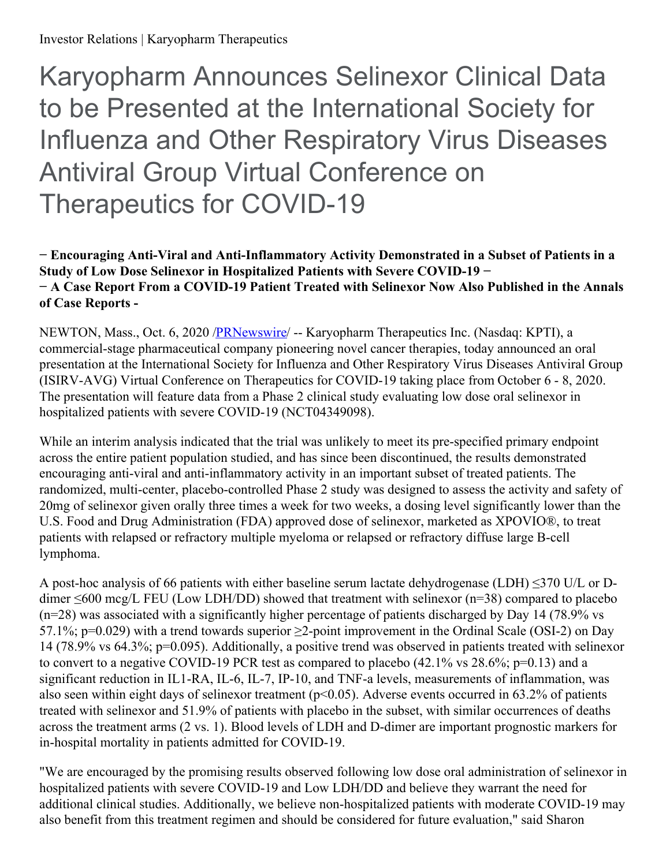# Karyopharm Announces Selinexor Clinical Data to be Presented at the International Society for Influenza and Other Respiratory Virus Diseases Antiviral Group Virtual Conference on Therapeutics for COVID-19

# **− Encouraging Anti-Viral and Anti-Inflammatory Activity Demonstrated in a Subset of Patients in a Study of Low Dose Selinexor in Hospitalized Patients with Severe COVID-19 − − A Case Report From a COVID-19 Patient Treated with Selinexor Now Also Published in the Annals of Case Reports -**

NEWTON, Mass., Oct. 6, 2020 [/PRNewswire/](http://www.prnewswire.com/) -- Karyopharm Therapeutics Inc. (Nasdaq: KPTI), a commercial-stage pharmaceutical company pioneering novel cancer therapies, today announced an oral presentation at the International Society for Influenza and Other Respiratory Virus Diseases Antiviral Group (ISIRV-AVG) Virtual Conference on Therapeutics for COVID-19 taking place from October 6 - 8, 2020. The presentation will feature data from a Phase 2 clinical study evaluating low dose oral selinexor in hospitalized patients with severe COVID-19 (NCT04349098).

While an interim analysis indicated that the trial was unlikely to meet its pre-specified primary endpoint across the entire patient population studied, and has since been discontinued, the results demonstrated encouraging anti-viral and anti-inflammatory activity in an important subset of treated patients. The randomized, multi-center, placebo-controlled Phase 2 study was designed to assess the activity and safety of 20mg of selinexor given orally three times a week for two weeks, a dosing level significantly lower than the U.S. Food and Drug Administration (FDA) approved dose of selinexor, marketed as XPOVIO®, to treat patients with relapsed or refractory multiple myeloma or relapsed or refractory diffuse large B-cell lymphoma.

A post-hoc analysis of 66 patients with either baseline serum lactate dehydrogenase (LDH) ≤370 U/L or Ddimer  $\leq 600$  mcg/L FEU (Low LDH/DD) showed that treatment with selinexor (n=38) compared to placebo  $(n=28)$  was associated with a significantly higher percentage of patients discharged by Day 14 (78.9% vs 57.1%; p=0.029) with a trend towards superior ≥2-point improvement in the Ordinal Scale (OSI-2) on Day 14 (78.9% vs 64.3%; p=0.095). Additionally, a positive trend was observed in patients treated with selinexor to convert to a negative COVID-19 PCR test as compared to placebo  $(42.1\% \text{ vs } 28.6\% \text{; } p=0.13)$  and a significant reduction in IL1-RA, IL-6, IL-7, IP-10, and TNF-a levels, measurements of inflammation, was also seen within eight days of selinexor treatment (p<0.05). Adverse events occurred in 63.2% of patients treated with selinexor and 51.9% of patients with placebo in the subset, with similar occurrences of deaths across the treatment arms (2 vs. 1). Blood levels of LDH and D-dimer are important prognostic markers for in-hospital mortality in patients admitted for COVID-19.

"We are encouraged by the promising results observed following low dose oral administration of selinexor in hospitalized patients with severe COVID-19 and Low LDH/DD and believe they warrant the need for additional clinical studies. Additionally, we believe non-hospitalized patients with moderate COVID-19 may also benefit from this treatment regimen and should be considered for future evaluation," said Sharon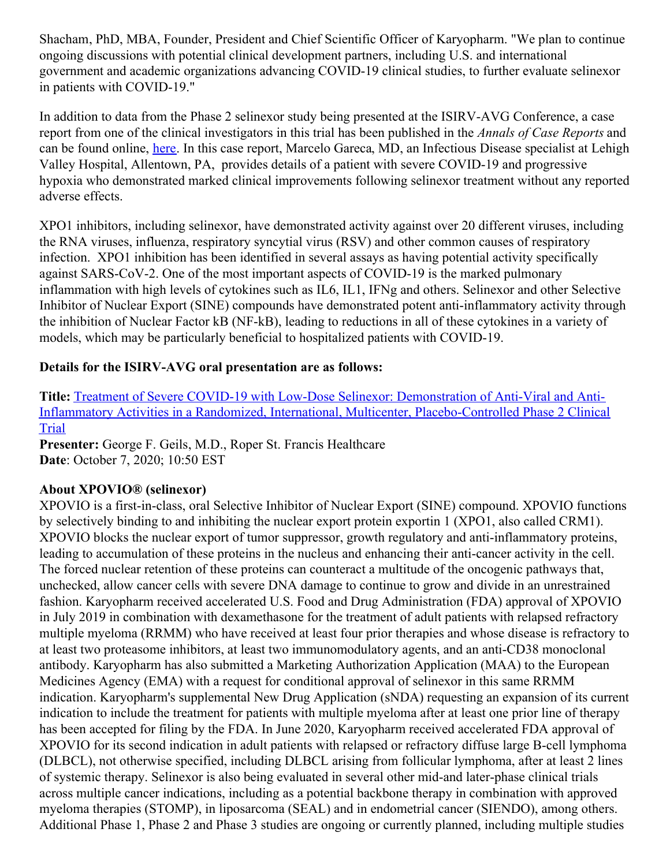Shacham, PhD, MBA, Founder, President and Chief Scientific Officer of Karyopharm. "We plan to continue ongoing discussions with potential clinical development partners, including U.S. and international government and academic organizations advancing COVID-19 clinical studies, to further evaluate selinexor in patients with COVID-19."

In addition to data from the Phase 2 selinexor study being presented at the ISIRV-AVG Conference, a case report from one of the clinical investigators in this trial has been published in the *Annals of Case Reports* and can be found online, [here](https://c212.net/c/link/?t=0&l=en&o=2940331-1&h=1330359342&u=https%3A%2F%2Fwww.gavinpublishers.com%2Farticles%2Fcase-report%2FAnnals-of-Case-Reports%2Fa-case-report-of-a-covid-19-patient-treated-with-the-selective-inhibitor-of-nuclear-export-sine-drug-selinexor&a=here). In this case report, Marcelo Gareca, MD, an Infectious Disease specialist at Lehigh Valley Hospital, Allentown, PA, provides details of a patient with severe COVID-19 and progressive hypoxia who demonstrated marked clinical improvements following selinexor treatment without any reported adverse effects.

XPO1 inhibitors, including selinexor, have demonstrated activity against over 20 different viruses, including the RNA viruses, influenza, respiratory syncytial virus (RSV) and other common causes of respiratory infection. XPO1 inhibition has been identified in several assays as having potential activity specifically against SARS-CoV-2. One of the most important aspects of COVID-19 is the marked pulmonary inflammation with high levels of cytokines such as IL6, IL1, IFNg and others. Selinexor and other Selective Inhibitor of Nuclear Export (SINE) compounds have demonstrated potent anti-inflammatory activity through the inhibition of Nuclear Factor kB (NF-kB), leading to reductions in all of these cytokines in a variety of models, which may be particularly beneficial to hospitalized patients with COVID-19.

# **Details for the ISIRV-AVG oral presentation are as follows:**

**Title:** Treatment of Severe COVID-19 with Low-Dose Selinexor: Demonstration of Anti-Viral and Anti-Inflammatory Activities in a Randomized, International, Multicenter, [Placebo-Controlled](https://c212.net/c/link/?t=0&l=en&o=2940331-1&h=908745824&u=https%3A%2F%2Fisirv.org%2Fsite%2Findex.php%2Fspecial-interest-groups%2Fantiviral-group-home&a=Treatment+of+Severe+COVID-19+with+Low-Dose+Selinexor%3A+Demonstration+of+Anti-Viral+and+Anti-Inflammatory+Activities+in+a+Randomized%2C+International%2C+Multicenter%2C+Placebo-Controlled+Phase+2+Clinical+Trial) Phase 2 Clinical Trial

**Presenter:** George F. Geils, M.D., Roper St. Francis Healthcare **Date**: October 7, 2020; 10:50 EST

## **About XPOVIO® (selinexor)**

XPOVIO is a first-in-class, oral Selective Inhibitor of Nuclear Export (SINE) compound. XPOVIO functions by selectively binding to and inhibiting the nuclear export protein exportin 1 (XPO1, also called CRM1). XPOVIO blocks the nuclear export of tumor suppressor, growth regulatory and anti-inflammatory proteins, leading to accumulation of these proteins in the nucleus and enhancing their anti-cancer activity in the cell. The forced nuclear retention of these proteins can counteract a multitude of the oncogenic pathways that, unchecked, allow cancer cells with severe DNA damage to continue to grow and divide in an unrestrained fashion. Karyopharm received accelerated U.S. Food and Drug Administration (FDA) approval of XPOVIO in July 2019 in combination with dexamethasone for the treatment of adult patients with relapsed refractory multiple myeloma (RRMM) who have received at least four prior therapies and whose disease is refractory to at least two proteasome inhibitors, at least two immunomodulatory agents, and an anti-CD38 monoclonal antibody. Karyopharm has also submitted a Marketing Authorization Application (MAA) to the European Medicines Agency (EMA) with a request for conditional approval of selinexor in this same RRMM indication. Karyopharm's supplemental New Drug Application (sNDA) requesting an expansion of its current indication to include the treatment for patients with multiple myeloma after at least one prior line of therapy has been accepted for filing by the FDA. In June 2020, Karyopharm received accelerated FDA approval of XPOVIO for its second indication in adult patients with relapsed or refractory diffuse large B-cell lymphoma (DLBCL), not otherwise specified, including DLBCL arising from follicular lymphoma, after at least 2 lines of systemic therapy. Selinexor is also being evaluated in several other mid-and later-phase clinical trials across multiple cancer indications, including as a potential backbone therapy in combination with approved myeloma therapies (STOMP), in liposarcoma (SEAL) and in endometrial cancer (SIENDO), among others. Additional Phase 1, Phase 2 and Phase 3 studies are ongoing or currently planned, including multiple studies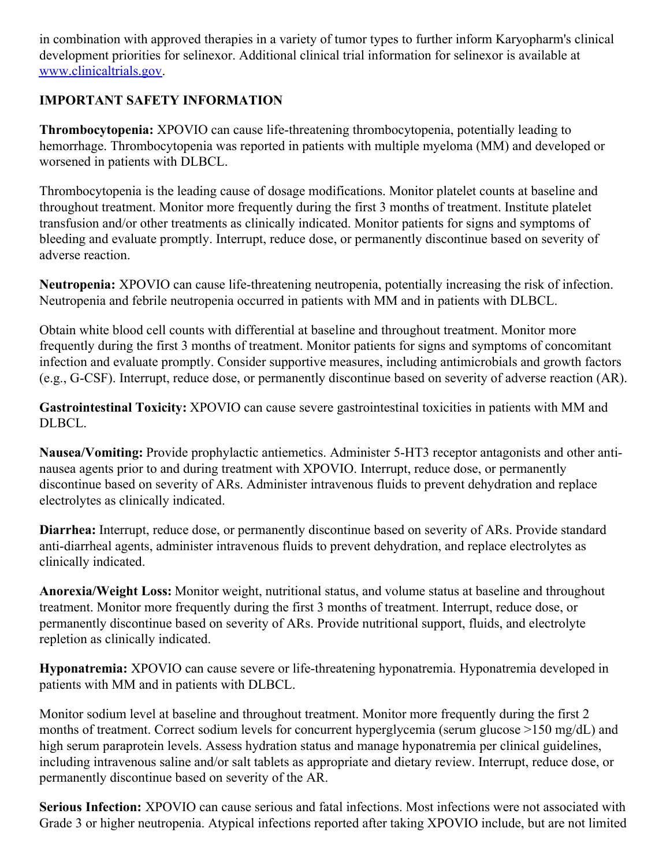in combination with approved therapies in a variety of tumor types to further inform Karyopharm's clinical development priorities for selinexor. Additional clinical trial information for selinexor is available at [www.clinicaltrials.gov](https://c212.net/c/link/?t=0&l=en&o=2940331-1&h=3619435343&u=http%3A%2F%2Fwww.clinicaltrials.gov%2F&a=www.clinicaltrials.gov).

# **IMPORTANT SAFETY INFORMATION**

**Thrombocytopenia:** XPOVIO can cause life-threatening thrombocytopenia, potentially leading to hemorrhage. Thrombocytopenia was reported in patients with multiple myeloma (MM) and developed or worsened in patients with DLBCL.

Thrombocytopenia is the leading cause of dosage modifications. Monitor platelet counts at baseline and throughout treatment. Monitor more frequently during the first 3 months of treatment. Institute platelet transfusion and/or other treatments as clinically indicated. Monitor patients for signs and symptoms of bleeding and evaluate promptly. Interrupt, reduce dose, or permanently discontinue based on severity of adverse reaction.

**Neutropenia:** XPOVIO can cause life-threatening neutropenia, potentially increasing the risk of infection. Neutropenia and febrile neutropenia occurred in patients with MM and in patients with DLBCL.

Obtain white blood cell counts with differential at baseline and throughout treatment. Monitor more frequently during the first 3 months of treatment. Monitor patients for signs and symptoms of concomitant infection and evaluate promptly. Consider supportive measures, including antimicrobials and growth factors (e.g., G-CSF). Interrupt, reduce dose, or permanently discontinue based on severity of adverse reaction (AR).

**Gastrointestinal Toxicity:** XPOVIO can cause severe gastrointestinal toxicities in patients with MM and DLBCL.

**Nausea/Vomiting:** Provide prophylactic antiemetics. Administer 5-HT3 receptor antagonists and other antinausea agents prior to and during treatment with XPOVIO. Interrupt, reduce dose, or permanently discontinue based on severity of ARs. Administer intravenous fluids to prevent dehydration and replace electrolytes as clinically indicated.

**Diarrhea:** Interrupt, reduce dose, or permanently discontinue based on severity of ARs. Provide standard anti-diarrheal agents, administer intravenous fluids to prevent dehydration, and replace electrolytes as clinically indicated.

**Anorexia/Weight Loss:** Monitor weight, nutritional status, and volume status at baseline and throughout treatment. Monitor more frequently during the first 3 months of treatment. Interrupt, reduce dose, or permanently discontinue based on severity of ARs. Provide nutritional support, fluids, and electrolyte repletion as clinically indicated.

**Hyponatremia:** XPOVIO can cause severe or life-threatening hyponatremia. Hyponatremia developed in patients with MM and in patients with DLBCL.

Monitor sodium level at baseline and throughout treatment. Monitor more frequently during the first 2 months of treatment. Correct sodium levels for concurrent hyperglycemia (serum glucose >150 mg/dL) and high serum paraprotein levels. Assess hydration status and manage hyponatremia per clinical guidelines, including intravenous saline and/or salt tablets as appropriate and dietary review. Interrupt, reduce dose, or permanently discontinue based on severity of the AR.

**Serious Infection:** XPOVIO can cause serious and fatal infections. Most infections were not associated with Grade 3 or higher neutropenia. Atypical infections reported after taking XPOVIO include, but are not limited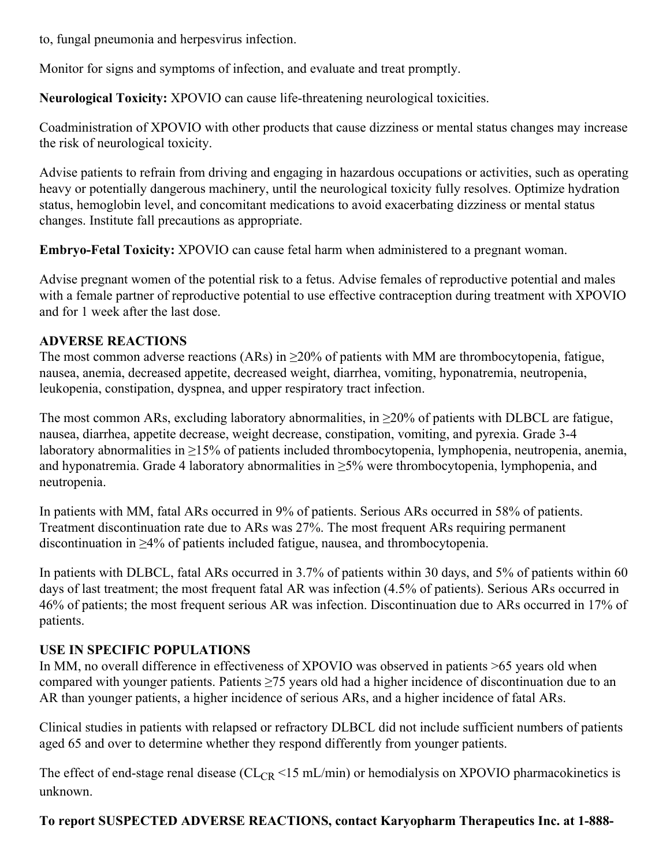to, fungal pneumonia and herpesvirus infection.

Monitor for signs and symptoms of infection, and evaluate and treat promptly.

**Neurological Toxicity:** XPOVIO can cause life-threatening neurological toxicities.

Coadministration of XPOVIO with other products that cause dizziness or mental status changes may increase the risk of neurological toxicity.

Advise patients to refrain from driving and engaging in hazardous occupations or activities, such as operating heavy or potentially dangerous machinery, until the neurological toxicity fully resolves. Optimize hydration status, hemoglobin level, and concomitant medications to avoid exacerbating dizziness or mental status changes. Institute fall precautions as appropriate.

**Embryo-Fetal Toxicity:** XPOVIO can cause fetal harm when administered to a pregnant woman.

Advise pregnant women of the potential risk to a fetus. Advise females of reproductive potential and males with a female partner of reproductive potential to use effective contraception during treatment with XPOVIO and for 1 week after the last dose.

# **ADVERSE REACTIONS**

The most common adverse reactions (ARs) in  $\geq$ 20% of patients with MM are thrombocytopenia, fatigue, nausea, anemia, decreased appetite, decreased weight, diarrhea, vomiting, hyponatremia, neutropenia, leukopenia, constipation, dyspnea, and upper respiratory tract infection.

The most common ARs, excluding laboratory abnormalities, in  $\geq$ 20% of patients with DLBCL are fatigue, nausea, diarrhea, appetite decrease, weight decrease, constipation, vomiting, and pyrexia. Grade 3-4 laboratory abnormalities in ≥15% of patients included thrombocytopenia, lymphopenia, neutropenia, anemia, and hyponatremia. Grade 4 laboratory abnormalities in  $\geq$ 5% were thrombocytopenia, lymphopenia, and neutropenia.

In patients with MM, fatal ARs occurred in 9% of patients. Serious ARs occurred in 58% of patients. Treatment discontinuation rate due to ARs was 27%. The most frequent ARs requiring permanent discontinuation in ≥4% of patients included fatigue, nausea, and thrombocytopenia.

In patients with DLBCL, fatal ARs occurred in 3.7% of patients within 30 days, and 5% of patients within 60 days of last treatment; the most frequent fatal AR was infection (4.5% of patients). Serious ARs occurred in 46% of patients; the most frequent serious AR was infection. Discontinuation due to ARs occurred in 17% of patients.

# **USE IN SPECIFIC POPULATIONS**

In MM, no overall difference in effectiveness of XPOVIO was observed in patients >65 years old when compared with younger patients. Patients ≥75 years old had a higher incidence of discontinuation due to an AR than younger patients, a higher incidence of serious ARs, and a higher incidence of fatal ARs.

Clinical studies in patients with relapsed or refractory DLBCL did not include sufficient numbers of patients aged 65 and over to determine whether they respond differently from younger patients.

The effect of end-stage renal disease ( $CL_{CR}$  <15 mL/min) or hemodialysis on XPOVIO pharmacokinetics is unknown.

# **To report SUSPECTED ADVERSE REACTIONS, contact Karyopharm Therapeutics Inc. at 1-888-**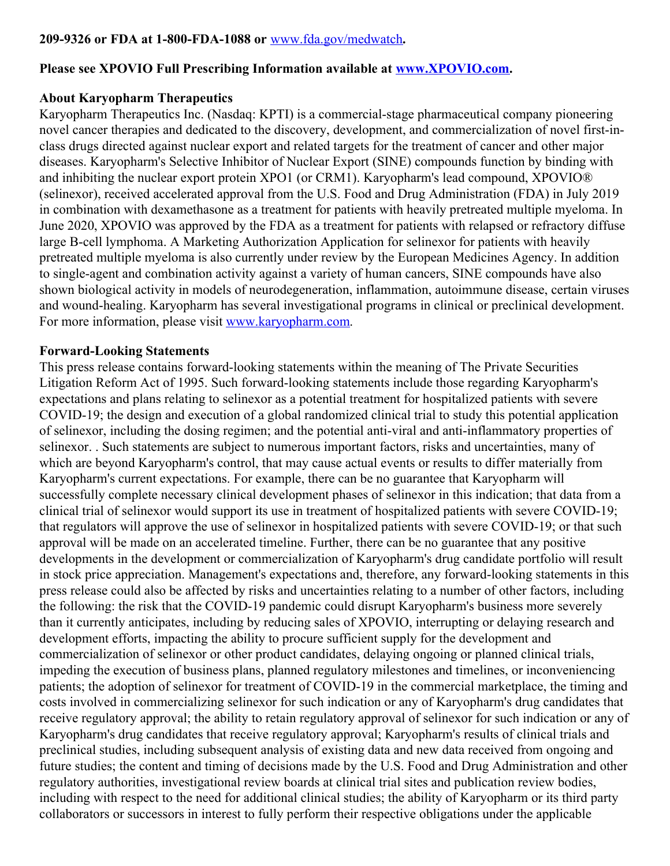### **209-9326 or FDA at 1-800-FDA-1088 or** [www.fda.gov/medwatch](https://c212.net/c/link/?t=0&l=en&o=2940331-1&h=3043564309&u=https%3A%2F%2Fc212.net%2Fc%2Flink%2F%3Ft%3D0%26l%3Den%26o%3D2875172-1%26h%3D1477507959%26u%3Dhttp%253A%252F%252Fwww.fda.gov%252Fmedwatch%26a%3Dwww.fda.gov%252Fmedwatch&a=www.fda.gov%2Fmedwatch)**.**

## **Please see XPOVIO Full Prescribing Information available at [www.XPOVIO.com](https://c212.net/c/link/?t=0&l=en&o=2940331-1&h=2136493271&u=https%3A%2F%2Fc212.net%2Fc%2Flink%2F%3Ft%3D0%26l%3Den%26o%3D2875172-1%26h%3D3088030465%26u%3Dhttp%253A%252F%252Fwww.xpovio.com%252F%26a%3Dwww.XPOVIO.com&a=www.XPOVIO.com).**

### **About Karyopharm Therapeutics**

Karyopharm Therapeutics Inc. (Nasdaq: KPTI) is a commercial-stage pharmaceutical company pioneering novel cancer therapies and dedicated to the discovery, development, and commercialization of novel first-inclass drugs directed against nuclear export and related targets for the treatment of cancer and other major diseases. Karyopharm's Selective Inhibitor of Nuclear Export (SINE) compounds function by binding with and inhibiting the nuclear export protein XPO1 (or CRM1). Karyopharm's lead compound, XPOVIO® (selinexor), received accelerated approval from the U.S. Food and Drug Administration (FDA) in July 2019 in combination with dexamethasone as a treatment for patients with heavily pretreated multiple myeloma. In June 2020, XPOVIO was approved by the FDA as a treatment for patients with relapsed or refractory diffuse large B-cell lymphoma. A Marketing Authorization Application for selinexor for patients with heavily pretreated multiple myeloma is also currently under review by the European Medicines Agency. In addition to single-agent and combination activity against a variety of human cancers, SINE compounds have also shown biological activity in models of neurodegeneration, inflammation, autoimmune disease, certain viruses and wound-healing. Karyopharm has several investigational programs in clinical or preclinical development. For more information, please visit [www.karyopharm.com](https://c212.net/c/link/?t=0&l=en&o=2940331-1&h=4083901309&u=http%3A%2F%2Fwww.karyopharm.com%2F&a=www.karyopharm.com).

### **Forward-Looking Statements**

This press release contains forward-looking statements within the meaning of The Private Securities Litigation Reform Act of 1995. Such forward-looking statements include those regarding Karyopharm's expectations and plans relating to selinexor as a potential treatment for hospitalized patients with severe COVID-19; the design and execution of a global randomized clinical trial to study this potential application of selinexor, including the dosing regimen; and the potential anti-viral and anti-inflammatory properties of selinexor. . Such statements are subject to numerous important factors, risks and uncertainties, many of which are beyond Karyopharm's control, that may cause actual events or results to differ materially from Karyopharm's current expectations. For example, there can be no guarantee that Karyopharm will successfully complete necessary clinical development phases of selinexor in this indication; that data from a clinical trial of selinexor would support its use in treatment of hospitalized patients with severe COVID-19; that regulators will approve the use of selinexor in hospitalized patients with severe COVID-19; or that such approval will be made on an accelerated timeline. Further, there can be no guarantee that any positive developments in the development or commercialization of Karyopharm's drug candidate portfolio will result in stock price appreciation. Management's expectations and, therefore, any forward-looking statements in this press release could also be affected by risks and uncertainties relating to a number of other factors, including the following: the risk that the COVID-19 pandemic could disrupt Karyopharm's business more severely than it currently anticipates, including by reducing sales of XPOVIO, interrupting or delaying research and development efforts, impacting the ability to procure sufficient supply for the development and commercialization of selinexor or other product candidates, delaying ongoing or planned clinical trials, impeding the execution of business plans, planned regulatory milestones and timelines, or inconveniencing patients; the adoption of selinexor for treatment of COVID-19 in the commercial marketplace, the timing and costs involved in commercializing selinexor for such indication or any of Karyopharm's drug candidates that receive regulatory approval; the ability to retain regulatory approval of selinexor for such indication or any of Karyopharm's drug candidates that receive regulatory approval; Karyopharm's results of clinical trials and preclinical studies, including subsequent analysis of existing data and new data received from ongoing and future studies; the content and timing of decisions made by the U.S. Food and Drug Administration and other regulatory authorities, investigational review boards at clinical trial sites and publication review bodies, including with respect to the need for additional clinical studies; the ability of Karyopharm or its third party collaborators or successors in interest to fully perform their respective obligations under the applicable